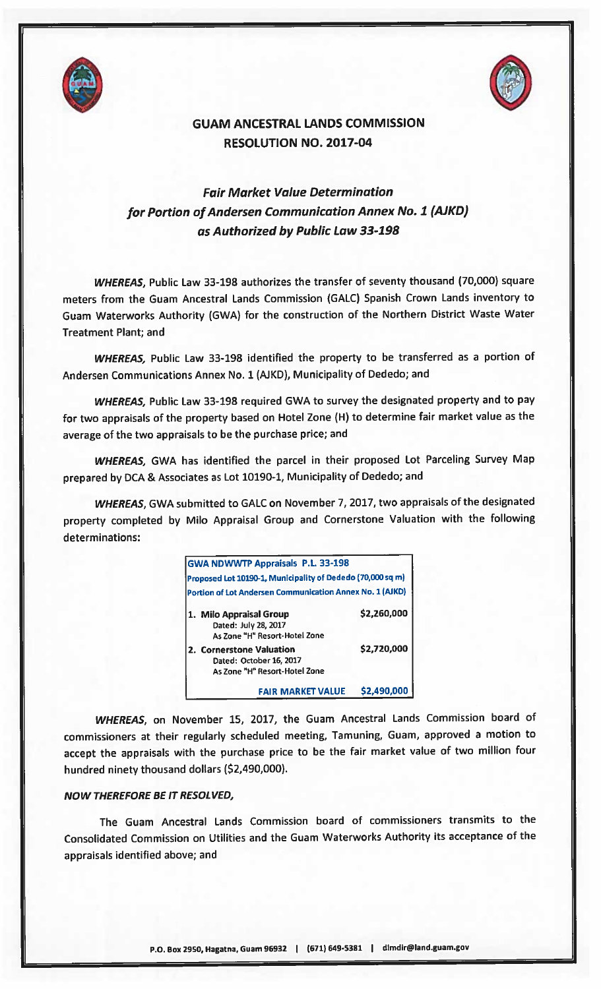



## GUAM ANCESTRAL LANDS COMMISSION RESOLUTION NO. 2017-04

## Fair Market Value Determination for Portion of Andersen Communication Annex No. 1 (AJKD) as Authorized by Public Law 33-192

WHEREAS, Public Law 33-198 authorizes the transfer of seventy thousand (70,000) square meters from the Guam Ancestral Lands Commission (GALC) Spanish Crown Lands inventory to Guam Waterworks Authority (GWA) for the construction of the Northern District Waste Water Treatment Plant; and

WHEREAS, Public Law 33-198 identified the property to be transferred as <sup>a</sup> portion of Andersen Communications Annex No. 1 (AJKD), Municipality of Dededo; and

WHEREAS, Public Law 33-198 required GWA to survey the designated property and to pay for two appraisals of the property based on Hotel Zone (H) to determine fair market value as the average of the two appraisals to be the purchase price; and

WHEREAS, GWA has identified the parcel in their proposed Lot Parceling Survey Map prepare<sup>d</sup> by DCA & Associates as Lot 10190-1, Municipality of Dededo; and

WHEREAS, GWA submitted to GALC on November 7, 2017, two appraisals of the designated property completed by Milo Appraisal Group and Cornerstone Valuation with the following determinations:

|                                                 | <b>GWA NDWWTP Appraisals P.L. 33-198</b>                   |             |
|-------------------------------------------------|------------------------------------------------------------|-------------|
|                                                 | Proposed Lot 10190-1, Municipality of Dededo (70,000 sq m) |             |
|                                                 | Portion of Lot Andersen Communication Annex No. 1 (AJKD)   |             |
| 1. Milo Appraisal Group<br>Dated: July 28, 2017 | As Zone "H" Resort-Hotel Zone                              | \$2,260,000 |
| 2. Cornerstone Valuation                        | Dated: October 16, 2017<br>As Zone "H" Resort-Hotel Zone   | \$2,720,000 |
|                                                 | FAIR MARKET VALUE                                          | 52,490,000  |

WHEREAS, on November 15, 2017, the Guam Ancestral Lands Commission board of commissioners at their regularly scheduled meeting, Tamuning, Guam, approve<sup>d</sup> <sup>a</sup> motion to accep<sup>t</sup> the appraisals with the purchase price to be the fair market value of two million four hundred ninety thousand dollars (\$2,490,000).

## NOW THEREFORE BE IT RESOLVED,

The Guam Ancestral Lands Commission hoard of commissioners transmits to the Consolidated Commission on Utilities and the Guam Waterworks Authority its acceptance of the appraisals identified above; and